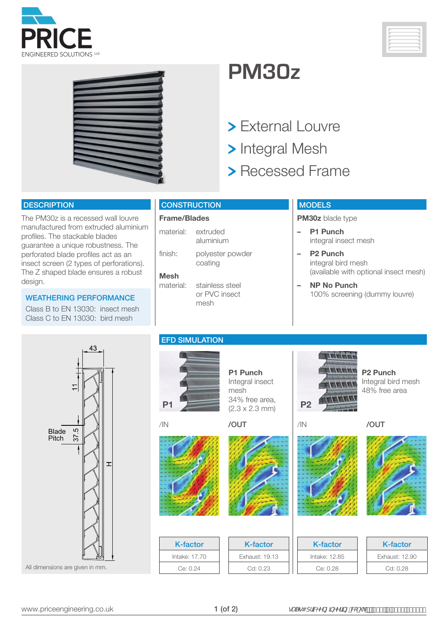





## **PM30z**

- > External Louvre
- > Integral Mesh
- > Recessed Frame

#### **DESCRIPTION**

The PM30z is a recessed wall louvre manufactured from extruded aluminium profiles. The stackable blades guarantee a unique robustness. The perforated blade profiles act as an insect screen (2 types of perforations). The Z shaped blade ensures a robust design.

Class B to EN 13030: insect mesh Class C to EN 13030: bird mesh



### **Frame/Blades**

| material: | extruded<br>aluminium       |
|-----------|-----------------------------|
| finish:   | polyester powder<br>coating |

**Mesh**  stainless steel

### **MODELS**

**PM30z** blade type

- **– P1 Punch** integral insect mesh
- **– P2 Punch** integral bird mesh (available with optional insect mesh)
- **– NP No Punch** 100% screening (dummy louvre) WEATHERING PERFORMANCE



### EFD SIMULATION



**P1 Punch** Integral insect mesh 34% free area,  $(2.3 \times 2.3 \text{ mm})$  **P2** 



or PVC insect

mesh



K-factor Intake: 17.70 Ce: 0.24





/IN /OUT

**TITLE The Second Second** a a a a a

**P2 Punch**

Integral bird mesh 48% free area

| <b>K-factor</b> | K-factor      | K-factor       |
|-----------------|---------------|----------------|
| Exhaust: 19.13  | Intake: 12.85 | Exhaust: 12.90 |
| Cd: 0.23        | Ce: 0.28      | Cd: 0.28       |